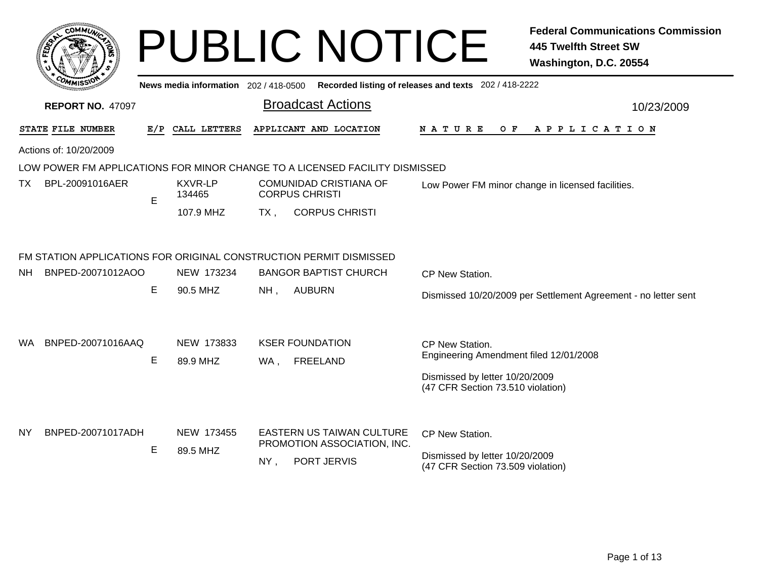|      |                         |             |                                       |        | <b>PUBLIC NOTICE</b>                                                        |                                                                     | <b>Federal Communications Commission</b><br><b>445 Twelfth Street SW</b><br>Washington, D.C. 20554 |
|------|-------------------------|-------------|---------------------------------------|--------|-----------------------------------------------------------------------------|---------------------------------------------------------------------|----------------------------------------------------------------------------------------------------|
|      |                         |             | News media information 202 / 418-0500 |        |                                                                             | Recorded listing of releases and texts 202 / 418-2222               |                                                                                                    |
|      | <b>REPORT NO. 47097</b> |             |                                       |        | <b>Broadcast Actions</b>                                                    |                                                                     | 10/23/2009                                                                                         |
|      | STATE FILE NUMBER       | E/P         | CALL LETTERS                          |        | APPLICANT AND LOCATION                                                      | NATURE<br>O F                                                       | A P P L I C A T I O N                                                                              |
|      | Actions of: 10/20/2009  |             |                                       |        |                                                                             |                                                                     |                                                                                                    |
|      |                         |             |                                       |        | LOW POWER FM APPLICATIONS FOR MINOR CHANGE TO A LICENSED FACILITY DISMISSED |                                                                     |                                                                                                    |
| ТX   | BPL-20091016AER         | $\mathsf E$ | <b>KXVR-LP</b><br>134465              |        | <b>COMUNIDAD CRISTIANA OF</b><br><b>CORPUS CHRISTI</b>                      |                                                                     | Low Power FM minor change in licensed facilities.                                                  |
|      |                         |             | 107.9 MHZ                             | $TX$ . | <b>CORPUS CHRISTI</b>                                                       |                                                                     |                                                                                                    |
|      |                         |             |                                       |        | FM STATION APPLICATIONS FOR ORIGINAL CONSTRUCTION PERMIT DISMISSED          |                                                                     |                                                                                                    |
| NH . | BNPED-20071012AOO       |             | NEW 173234                            |        | <b>BANGOR BAPTIST CHURCH</b>                                                | CP New Station.                                                     |                                                                                                    |
|      |                         | Е           | 90.5 MHZ                              | NH,    | <b>AUBURN</b>                                                               |                                                                     | Dismissed 10/20/2009 per Settlement Agreement - no letter sent                                     |
|      |                         |             |                                       |        |                                                                             |                                                                     |                                                                                                    |
| WA.  | BNPED-20071016AAQ       |             | NEW 173833                            |        | <b>KSER FOUNDATION</b>                                                      | CP New Station.                                                     |                                                                                                    |
|      |                         | Е           | 89.9 MHZ                              | WA,    | <b>FREELAND</b>                                                             | Engineering Amendment filed 12/01/2008                              |                                                                                                    |
|      |                         |             |                                       |        |                                                                             | Dismissed by letter 10/20/2009<br>(47 CFR Section 73.510 violation) |                                                                                                    |
|      |                         |             |                                       |        |                                                                             |                                                                     |                                                                                                    |
| NY   | BNPED-20071017ADH       |             | NEW 173455                            |        | <b>EASTERN US TAIWAN CULTURE</b><br>PROMOTION ASSOCIATION, INC.             | CP New Station.                                                     |                                                                                                    |
|      |                         | Е           | 89.5 MHZ                              | $NY$ , | PORT JERVIS                                                                 | Dismissed by letter 10/20/2009<br>(47 CFR Section 73.509 violation) |                                                                                                    |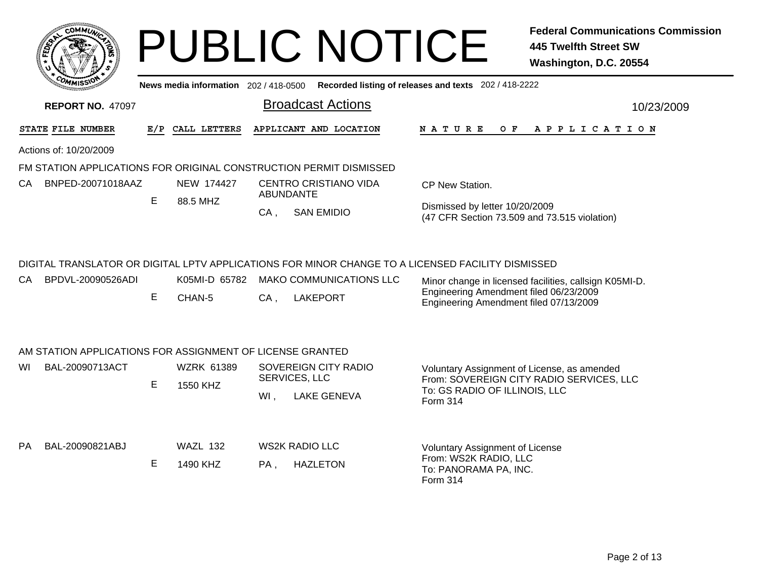|                                                                    |     |                   |        | <b>PUBLIC NOTICE</b>                                                                              |                                                                                  | <b>Federal Communications Commission</b><br><b>445 Twelfth Street SW</b><br>Washington, D.C. 20554 |
|--------------------------------------------------------------------|-----|-------------------|--------|---------------------------------------------------------------------------------------------------|----------------------------------------------------------------------------------|----------------------------------------------------------------------------------------------------|
|                                                                    |     |                   |        | News media information 202/418-0500 Recorded listing of releases and texts 202/418-2222           |                                                                                  |                                                                                                    |
| <b>REPORT NO. 47097</b>                                            |     |                   |        | <b>Broadcast Actions</b>                                                                          |                                                                                  | 10/23/2009                                                                                         |
| STATE FILE NUMBER                                                  | E/P | CALL LETTERS      |        | APPLICANT AND LOCATION                                                                            | N A T U R E<br>O F                                                               | APPLICATION                                                                                        |
| Actions of: 10/20/2009                                             |     |                   |        |                                                                                                   |                                                                                  |                                                                                                    |
| FM STATION APPLICATIONS FOR ORIGINAL CONSTRUCTION PERMIT DISMISSED |     |                   |        |                                                                                                   |                                                                                  |                                                                                                    |
| BNPED-20071018AAZ<br>CA –                                          |     | NEW 174427        |        | <b>CENTRO CRISTIANO VIDA</b><br><b>ABUNDANTE</b>                                                  | CP New Station.                                                                  |                                                                                                    |
|                                                                    | E.  | 88.5 MHZ          | $CA$ , | <b>SAN EMIDIO</b>                                                                                 | Dismissed by letter 10/20/2009<br>(47 CFR Section 73.509 and 73.515 violation)   |                                                                                                    |
|                                                                    |     |                   |        | DIGITAL TRANSLATOR OR DIGITAL LPTV APPLICATIONS FOR MINOR CHANGE TO A LICENSED FACILITY DISMISSED |                                                                                  |                                                                                                    |
| BPDVL-20090526ADI<br>CA.                                           |     | K05MI-D 65782     |        | <b>MAKO COMMUNICATIONS LLC</b>                                                                    |                                                                                  | Minor change in licensed facilities, callsign K05MI-D.                                             |
|                                                                    | E   | CHAN-5            | $CA$ , | <b>LAKEPORT</b>                                                                                   | Engineering Amendment filed 06/23/2009<br>Engineering Amendment filed 07/13/2009 |                                                                                                    |
| AM STATION APPLICATIONS FOR ASSIGNMENT OF LICENSE GRANTED          |     |                   |        |                                                                                                   |                                                                                  |                                                                                                    |
| BAL-20090713ACT<br>WI                                              |     | <b>WZRK 61389</b> |        | SOVEREIGN CITY RADIO<br>SERVICES, LLC                                                             | Voluntary Assignment of License, as amended                                      |                                                                                                    |
|                                                                    | E   | 1550 KHZ          | $Wl$ , | <b>LAKE GENEVA</b>                                                                                | To: GS RADIO OF ILLINOIS, LLC                                                    | From: SOVEREIGN CITY RADIO SERVICES, LLC                                                           |
|                                                                    |     |                   |        |                                                                                                   | <b>Form 314</b>                                                                  |                                                                                                    |
| BAL-20090821ABJ<br><b>PA</b>                                       |     | <b>WAZL 132</b>   |        | <b>WS2K RADIO LLC</b>                                                                             | <b>Voluntary Assignment of License</b>                                           |                                                                                                    |
|                                                                    | E   | 1490 KHZ          | PA.    | <b>HAZLETON</b>                                                                                   | From: WS2K RADIO, LLC<br>To: PANORAMA PA, INC.<br>Form 314                       |                                                                                                    |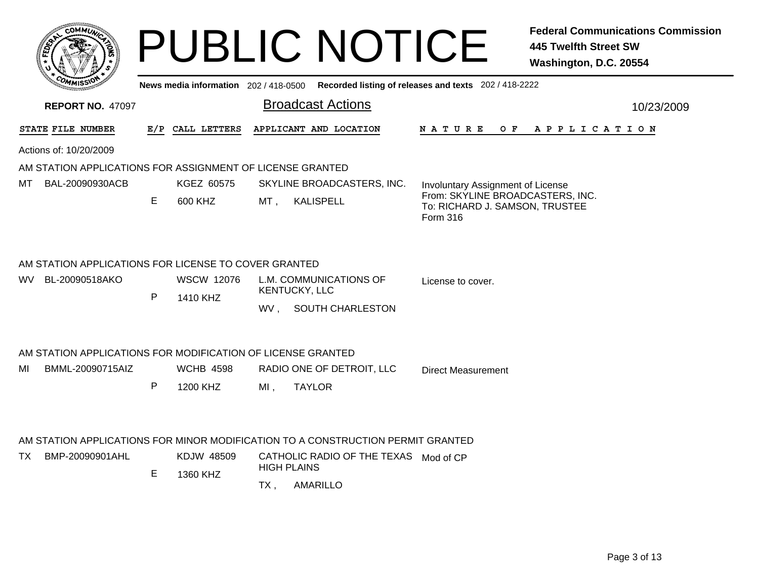|          | <b>MMUNA</b><br><b>CO</b><br>¢. |         |
|----------|---------------------------------|---------|
| క<br>ម្ម |                                 | ٠<br>F. |
|          |                                 |         |
| COM      | MISS'<br>---                    |         |

## PUBLIC NOTICE **Federal Communications Commission 445 Twelfth Street SW Washington, D.C. 20554**

|  | News media information 202/418-0500 Recorded listing of releases and texts 202/418-2222 |  |
|--|-----------------------------------------------------------------------------------------|--|
|--|-----------------------------------------------------------------------------------------|--|

| <b>REPORT NO. 47097</b>                                     |     |                   | <b>Broadcast Actions</b>                                                        | 10/23/2009                                                                     |
|-------------------------------------------------------------|-----|-------------------|---------------------------------------------------------------------------------|--------------------------------------------------------------------------------|
| STATE FILE NUMBER                                           | E/P | CALL LETTERS      | APPLICANT AND LOCATION                                                          | N A T U R E<br>OF APPLICATION                                                  |
| Actions of: 10/20/2009                                      |     |                   |                                                                                 |                                                                                |
| AM STATION APPLICATIONS FOR ASSIGNMENT OF LICENSE GRANTED   |     |                   |                                                                                 |                                                                                |
| BAL-20090930ACB<br>МT                                       |     | KGEZ 60575        | SKYLINE BROADCASTERS, INC.                                                      | Involuntary Assignment of License                                              |
|                                                             | Е   | 600 KHZ           | MT,<br><b>KALISPELL</b>                                                         | From: SKYLINE BROADCASTERS, INC.<br>To: RICHARD J. SAMSON, TRUSTEE<br>Form 316 |
| AM STATION APPLICATIONS FOR LICENSE TO COVER GRANTED        |     |                   |                                                                                 |                                                                                |
| BL-20090518AKO<br>WV.                                       |     | <b>WSCW 12076</b> | L.M. COMMUNICATIONS OF<br>KENTUCKY, LLC                                         | License to cover.                                                              |
|                                                             | P   | 1410 KHZ          | WV, SOUTH CHARLESTON                                                            |                                                                                |
| AM STATION APPLICATIONS FOR MODIFICATION OF LICENSE GRANTED |     |                   |                                                                                 |                                                                                |
| BMML-20090715AIZ<br>MI                                      |     | <b>WCHB 4598</b>  | RADIO ONE OF DETROIT, LLC                                                       | <b>Direct Measurement</b>                                                      |
|                                                             | P   | 1200 KHZ          | $MI$ ,<br><b>TAYLOR</b>                                                         |                                                                                |
|                                                             |     |                   | AM STATION APPLICATIONS FOR MINOR MODIFICATION TO A CONSTRUCTION PERMIT GRANTED |                                                                                |
| BMP-20090901AHL<br>TX.                                      |     | KDJW 48509        | CATHOLIC RADIO OF THE TEXAS Mod of CP<br><b>HIGH PLAINS</b>                     |                                                                                |
|                                                             | E   | 1360 KHZ          | AMARILLO<br>TX,                                                                 |                                                                                |
|                                                             |     |                   |                                                                                 |                                                                                |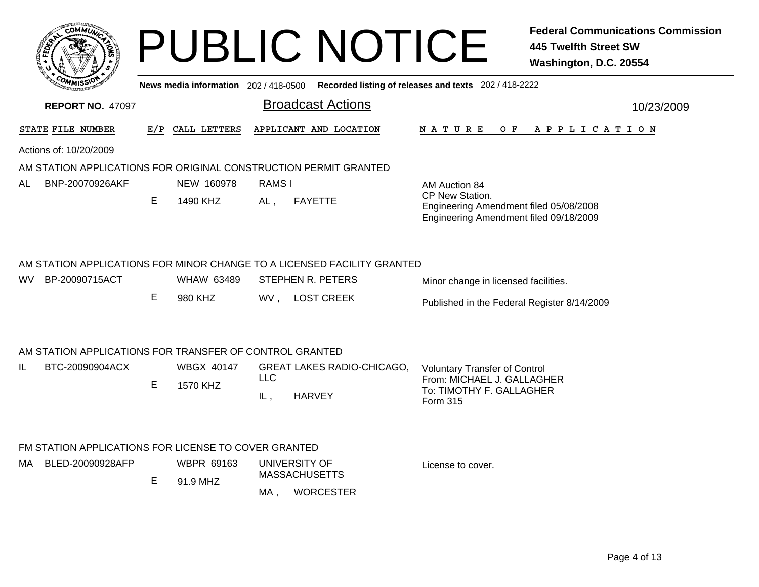|                                                                  |    |                   |            | <b>PUBLIC NOTICE</b>                                                                                |                                                                                                     | <b>Federal Communications Commission</b><br><b>445 Twelfth Street SW</b><br>Washington, D.C. 20554 |
|------------------------------------------------------------------|----|-------------------|------------|-----------------------------------------------------------------------------------------------------|-----------------------------------------------------------------------------------------------------|----------------------------------------------------------------------------------------------------|
|                                                                  |    |                   |            | News media information 202 / 418-0500 Recorded listing of releases and texts 202 / 418-2222         |                                                                                                     |                                                                                                    |
| <b>REPORT NO. 47097</b>                                          |    |                   |            | <b>Broadcast Actions</b>                                                                            |                                                                                                     | 10/23/2009                                                                                         |
| STATE FILE NUMBER                                                |    | E/P CALL LETTERS  |            | APPLICANT AND LOCATION                                                                              | N A T U R E<br>O F                                                                                  | APPLICATION                                                                                        |
| Actions of: 10/20/2009                                           |    |                   |            |                                                                                                     |                                                                                                     |                                                                                                    |
| AM STATION APPLICATIONS FOR ORIGINAL CONSTRUCTION PERMIT GRANTED |    |                   |            |                                                                                                     |                                                                                                     |                                                                                                    |
| BNP-20070926AKF<br>AL                                            |    | NEW 160978        | RAMS I     |                                                                                                     | AM Auction 84                                                                                       |                                                                                                    |
|                                                                  | E  | 1490 KHZ          | AL.        | <b>FAYETTE</b>                                                                                      | CP New Station.<br>Engineering Amendment filed 05/08/2008<br>Engineering Amendment filed 09/18/2009 |                                                                                                    |
| BP-20090715ACT<br>WV.                                            |    | <b>WHAW 63489</b> |            | AM STATION APPLICATIONS FOR MINOR CHANGE TO A LICENSED FACILITY GRANTED<br><b>STEPHEN R. PETERS</b> | Minor change in licensed facilities.                                                                |                                                                                                    |
|                                                                  | E. | 980 KHZ           |            | WV, LOST CREEK                                                                                      | Published in the Federal Register 8/14/2009                                                         |                                                                                                    |
| AM STATION APPLICATIONS FOR TRANSFER OF CONTROL GRANTED          |    |                   |            |                                                                                                     |                                                                                                     |                                                                                                    |
| BTC-20090904ACX<br>IL.                                           |    | <b>WBGX 40147</b> |            | <b>GREAT LAKES RADIO-CHICAGO,</b>                                                                   | <b>Voluntary Transfer of Control</b>                                                                |                                                                                                    |
|                                                                  | E  | 1570 KHZ          | <b>LLC</b> |                                                                                                     | From: MICHAEL J. GALLAGHER<br>To: TIMOTHY F. GALLAGHER                                              |                                                                                                    |
|                                                                  |    |                   | IL,        | <b>HARVEY</b>                                                                                       | Form 315                                                                                            |                                                                                                    |
| FM STATION APPLICATIONS FOR LICENSE TO COVER GRANTED             |    |                   |            |                                                                                                     |                                                                                                     |                                                                                                    |
| BLED-20090928AFP<br>MA.                                          |    | <b>WBPR 69163</b> |            | UNIVERSITY OF                                                                                       | License to cover.                                                                                   |                                                                                                    |
|                                                                  | E. | 91.9 MHZ          |            | <b>MASSACHUSETTS</b>                                                                                |                                                                                                     |                                                                                                    |
|                                                                  |    |                   | MA,        | <b>WORCESTER</b>                                                                                    |                                                                                                     |                                                                                                    |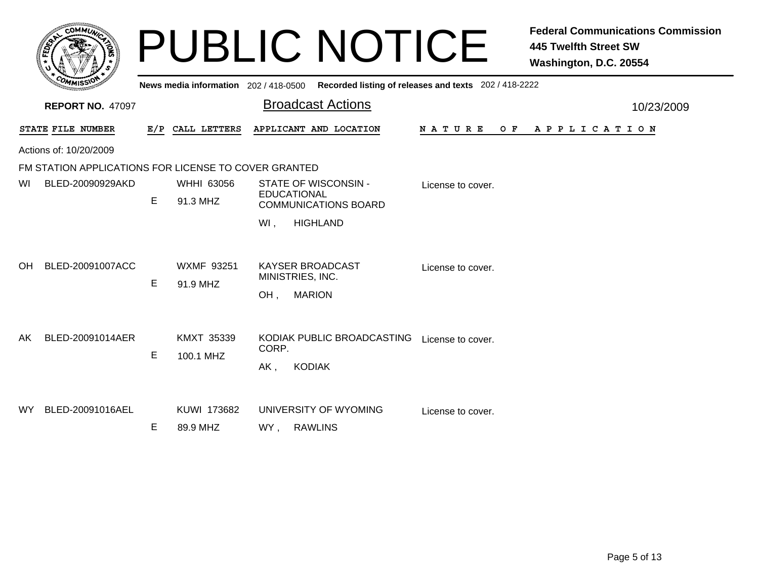|     | $c$ OMM $\vec{u}$                                    |    |                                       | <b>PUBLIC NOTICE</b>                                                |                                                       | <b>Federal Communications Commission</b><br><b>445 Twelfth Street SW</b><br>Washington, D.C. 20554 |
|-----|------------------------------------------------------|----|---------------------------------------|---------------------------------------------------------------------|-------------------------------------------------------|----------------------------------------------------------------------------------------------------|
|     |                                                      |    | News media information 202 / 418-0500 |                                                                     | Recorded listing of releases and texts 202 / 418-2222 |                                                                                                    |
|     | <b>REPORT NO. 47097</b>                              |    |                                       | <b>Broadcast Actions</b>                                            |                                                       | 10/23/2009                                                                                         |
|     | STATE FILE NUMBER                                    |    | E/P CALL LETTERS                      | APPLICANT AND LOCATION                                              | <b>NATURE</b><br>O F                                  | A P P L I C A T I O N                                                                              |
|     | Actions of: 10/20/2009                               |    |                                       |                                                                     |                                                       |                                                                                                    |
|     | FM STATION APPLICATIONS FOR LICENSE TO COVER GRANTED |    |                                       |                                                                     |                                                       |                                                                                                    |
| WI  | BLED-20090929AKD                                     |    | WHHI 63056                            | STATE OF WISCONSIN -                                                | License to cover.                                     |                                                                                                    |
|     |                                                      | E. | 91.3 MHZ                              | <b>EDUCATIONAL</b><br><b>COMMUNICATIONS BOARD</b>                   |                                                       |                                                                                                    |
|     |                                                      |    |                                       | WI,<br><b>HIGHLAND</b>                                              |                                                       |                                                                                                    |
| OH. | BLED-20091007ACC                                     | E  | <b>WXMF 93251</b><br>91.9 MHZ         | <b>KAYSER BROADCAST</b><br>MINISTRIES, INC.<br><b>MARION</b><br>OH, | License to cover.                                     |                                                                                                    |
| AK  | BLED-20091014AER                                     | Е  | KMXT 35339<br>100.1 MHZ               | KODIAK PUBLIC BROADCASTING<br>CORP.<br><b>KODIAK</b><br>AK,         | License to cover.                                     |                                                                                                    |
| WY. | BLED-20091016AEL                                     | Е  | KUWI 173682<br>89.9 MHZ               | UNIVERSITY OF WYOMING<br><b>RAWLINS</b><br>WY,                      | License to cover.                                     |                                                                                                    |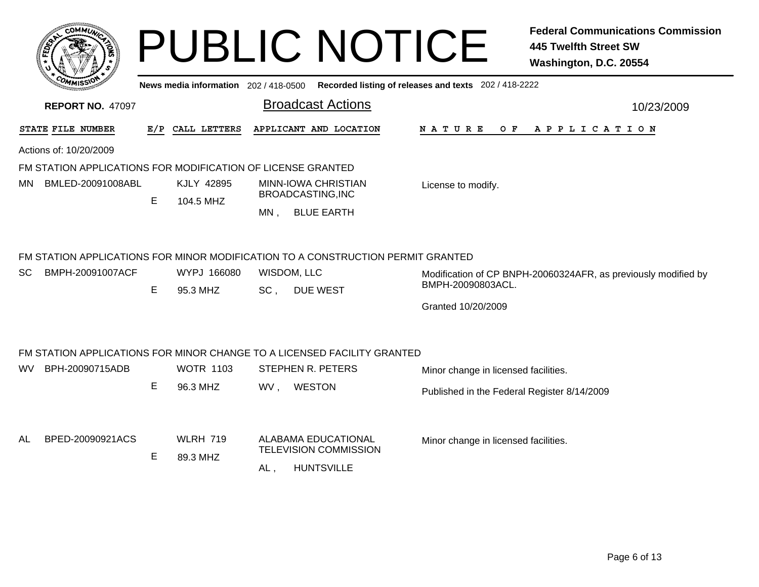|     |                                                             |     |                             |                                          | <b>PUBLIC NOTICE</b>                                                                                              |                                                                                             | <b>Federal Communications Commission</b><br><b>445 Twelfth Street SW</b><br>Washington, D.C. 20554 |
|-----|-------------------------------------------------------------|-----|-----------------------------|------------------------------------------|-------------------------------------------------------------------------------------------------------------------|---------------------------------------------------------------------------------------------|----------------------------------------------------------------------------------------------------|
|     |                                                             |     |                             |                                          |                                                                                                                   | News media information 202 / 418-0500 Recorded listing of releases and texts 202 / 418-2222 |                                                                                                    |
|     | <b>REPORT NO. 47097</b>                                     |     |                             |                                          | <b>Broadcast Actions</b>                                                                                          |                                                                                             | 10/23/2009                                                                                         |
|     | STATE FILE NUMBER                                           | E/P | CALL LETTERS                |                                          | APPLICANT AND LOCATION                                                                                            | <b>NATURE</b><br>O F                                                                        | APPLICATION                                                                                        |
|     | Actions of: 10/20/2009                                      |     |                             |                                          |                                                                                                                   |                                                                                             |                                                                                                    |
|     | FM STATION APPLICATIONS FOR MODIFICATION OF LICENSE GRANTED |     |                             |                                          |                                                                                                                   |                                                                                             |                                                                                                    |
| MN. | BMLED-20091008ABL                                           |     | <b>KJLY 42895</b>           | MINN-IOWA CHRISTIAN<br>BROADCASTING, INC | License to modify.                                                                                                |                                                                                             |                                                                                                    |
|     |                                                             | Е   | 104.5 MHZ                   | MN.                                      | <b>BLUE EARTH</b>                                                                                                 |                                                                                             |                                                                                                    |
| SC. | BMPH-20091007ACF                                            | E   | WYPJ 166080<br>95.3 MHZ     | SC,                                      | FM STATION APPLICATIONS FOR MINOR MODIFICATION TO A CONSTRUCTION PERMIT GRANTED<br>WISDOM, LLC<br><b>DUE WEST</b> | BMPH-20090803ACL.<br>Granted 10/20/2009                                                     | Modification of CP BNPH-20060324AFR, as previously modified by                                     |
|     |                                                             |     |                             |                                          | FM STATION APPLICATIONS FOR MINOR CHANGE TO A LICENSED FACILITY GRANTED                                           |                                                                                             |                                                                                                    |
| WV. | BPH-20090715ADB                                             |     | <b>WOTR 1103</b>            |                                          | STEPHEN R. PETERS                                                                                                 | Minor change in licensed facilities.                                                        |                                                                                                    |
|     |                                                             | E   | 96.3 MHZ                    |                                          | WV, WESTON                                                                                                        | Published in the Federal Register 8/14/2009                                                 |                                                                                                    |
| AL  | BPED-20090921ACS                                            | E   | <b>WLRH 719</b><br>89.3 MHZ | AL,                                      | <b>ALABAMA EDUCATIONAL</b><br><b>TELEVISION COMMISSION</b><br><b>HUNTSVILLE</b>                                   | Minor change in licensed facilities.                                                        |                                                                                                    |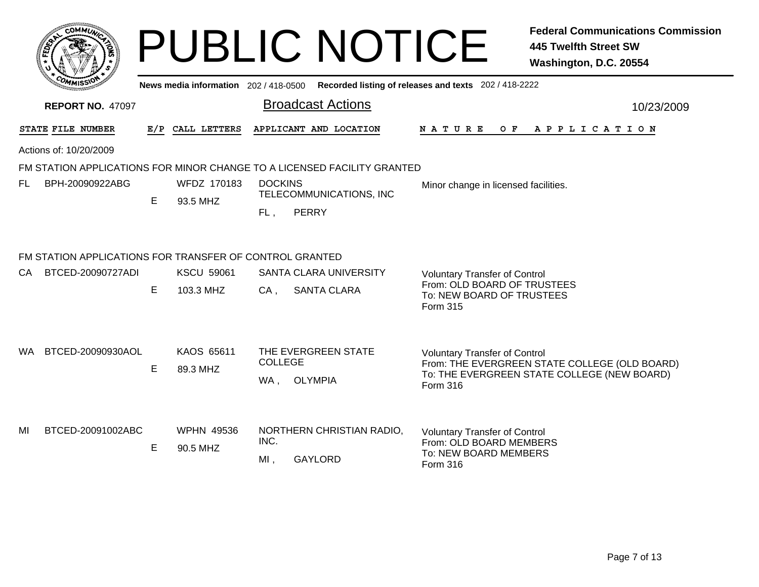|           |                                                         |     |                                     |                       | <b>PUBLIC NOTICE</b>                                                    |                                                                                                              | <b>Federal Communications Commission</b><br><b>445 Twelfth Street SW</b><br>Washington, D.C. 20554 |
|-----------|---------------------------------------------------------|-----|-------------------------------------|-----------------------|-------------------------------------------------------------------------|--------------------------------------------------------------------------------------------------------------|----------------------------------------------------------------------------------------------------|
|           |                                                         |     | News media information 202/418-0500 |                       |                                                                         | Recorded listing of releases and texts 202 / 418-2222                                                        |                                                                                                    |
|           | <b>REPORT NO. 47097</b>                                 |     |                                     |                       | <b>Broadcast Actions</b>                                                |                                                                                                              | 10/23/2009                                                                                         |
|           | STATE FILE NUMBER                                       | E/P | CALL LETTERS                        |                       | APPLICANT AND LOCATION                                                  | N A T U R E<br>O F                                                                                           | A P P L I C A T I O N                                                                              |
|           | Actions of: 10/20/2009                                  |     |                                     |                       |                                                                         |                                                                                                              |                                                                                                    |
|           |                                                         |     |                                     |                       | FM STATION APPLICATIONS FOR MINOR CHANGE TO A LICENSED FACILITY GRANTED |                                                                                                              |                                                                                                    |
| FL        | BPH-20090922ABG                                         | E   | WFDZ 170183<br>93.5 MHZ             | <b>DOCKINS</b><br>FL, | TELECOMMUNICATIONS, INC<br><b>PERRY</b>                                 | Minor change in licensed facilities.                                                                         |                                                                                                    |
|           | FM STATION APPLICATIONS FOR TRANSFER OF CONTROL GRANTED |     |                                     |                       |                                                                         |                                                                                                              |                                                                                                    |
| <b>CA</b> | BTCED-20090727ADI                                       | Е   | <b>KSCU 59061</b><br>103.3 MHZ      | $CA$ ,                | <b>SANTA CLARA UNIVERSITY</b><br>SANTA CLARA                            | <b>Voluntary Transfer of Control</b><br>From: OLD BOARD OF TRUSTEES<br>To: NEW BOARD OF TRUSTEES<br>Form 315 |                                                                                                    |
| WA.       | BTCED-20090930AOL                                       | E   | KAOS 65611<br>89.3 MHZ              | <b>COLLEGE</b><br>WA, | THE EVERGREEN STATE<br><b>OLYMPIA</b>                                   | <b>Voluntary Transfer of Control</b><br>Form 316                                                             | From: THE EVERGREEN STATE COLLEGE (OLD BOARD)<br>To: THE EVERGREEN STATE COLLEGE (NEW BOARD)       |
| MI        | BTCED-20091002ABC                                       | Е   | <b>WPHN 49536</b><br>90.5 MHZ       | INC.<br>MI,           | NORTHERN CHRISTIAN RADIO,<br><b>GAYLORD</b>                             | <b>Voluntary Transfer of Control</b><br>From: OLD BOARD MEMBERS<br>To: NEW BOARD MEMBERS<br>Form 316         |                                                                                                    |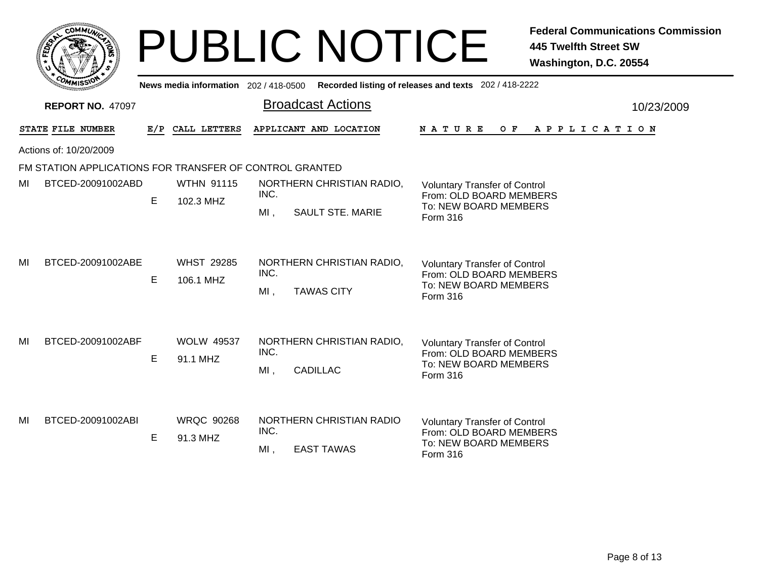|    | <b>COMMUT</b>                                           |     |                                     | <b>PUBLIC NOTICE</b>                                                   | <b>Federal Communications Commission</b><br><b>445 Twelfth Street SW</b><br>Washington, D.C. 20554   |
|----|---------------------------------------------------------|-----|-------------------------------------|------------------------------------------------------------------------|------------------------------------------------------------------------------------------------------|
|    |                                                         |     | News media information 202/418-0500 |                                                                        | Recorded listing of releases and texts 202 / 418-2222                                                |
|    | <b>REPORT NO. 47097</b>                                 |     |                                     | <b>Broadcast Actions</b>                                               | 10/23/2009                                                                                           |
|    | STATE FILE NUMBER                                       | E/P | CALL LETTERS                        | APPLICANT AND LOCATION                                                 | N A T U R E<br>O F<br>A P P L I C A T I O N                                                          |
|    | Actions of: 10/20/2009                                  |     |                                     |                                                                        |                                                                                                      |
|    | FM STATION APPLICATIONS FOR TRANSFER OF CONTROL GRANTED |     |                                     |                                                                        |                                                                                                      |
| MI | BTCED-20091002ABD                                       | E   | <b>WTHN 91115</b><br>102.3 MHZ      | NORTHERN CHRISTIAN RADIO,<br>INC.<br>$MI$ ,<br><b>SAULT STE. MARIE</b> | <b>Voluntary Transfer of Control</b><br>From: OLD BOARD MEMBERS<br>To: NEW BOARD MEMBERS<br>Form 316 |
| MI | BTCED-20091002ABE                                       | E   | <b>WHST 29285</b><br>106.1 MHZ      | NORTHERN CHRISTIAN RADIO,<br>INC.<br><b>TAWAS CITY</b><br>MI,          | <b>Voluntary Transfer of Control</b><br>From: OLD BOARD MEMBERS<br>To: NEW BOARD MEMBERS<br>Form 316 |
| MI | BTCED-20091002ABF                                       | Е   | <b>WOLW 49537</b><br>91.1 MHZ       | NORTHERN CHRISTIAN RADIO,<br>INC.<br><b>CADILLAC</b><br>$MI$ ,         | <b>Voluntary Transfer of Control</b><br>From: OLD BOARD MEMBERS<br>To: NEW BOARD MEMBERS<br>Form 316 |
| MI | BTCED-20091002ABI                                       | E   | <b>WRQC 90268</b><br>91.3 MHZ       | NORTHERN CHRISTIAN RADIO<br>INC.<br><b>EAST TAWAS</b><br>$MI$ ,        | <b>Voluntary Transfer of Control</b><br>From: OLD BOARD MEMBERS<br>To: NEW BOARD MEMBERS<br>Form 316 |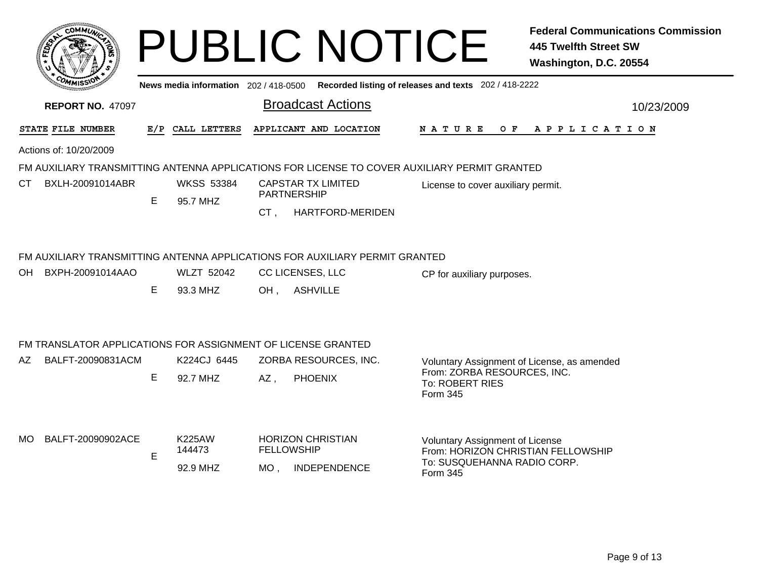| <b>COMMIT</b>                                                                                  |                                                                    |                                     |                              |                  |                                                                                                                                                                                                                                                                | <b>Federal Communications Commission</b><br><b>445 Twelfth Street SW</b><br>Washington, D.C. 20554                                                                                                                                                 |  |  |  |  |  |  |
|------------------------------------------------------------------------------------------------|--------------------------------------------------------------------|-------------------------------------|------------------------------|------------------|----------------------------------------------------------------------------------------------------------------------------------------------------------------------------------------------------------------------------------------------------------------|----------------------------------------------------------------------------------------------------------------------------------------------------------------------------------------------------------------------------------------------------|--|--|--|--|--|--|
| Recorded listing of releases and texts 202 / 418-2222<br>News media information 202 / 418-0500 |                                                                    |                                     |                              |                  |                                                                                                                                                                                                                                                                |                                                                                                                                                                                                                                                    |  |  |  |  |  |  |
| <b>Broadcast Actions</b><br><b>REPORT NO. 47097</b><br>10/23/2009                              |                                                                    |                                     |                              |                  |                                                                                                                                                                                                                                                                |                                                                                                                                                                                                                                                    |  |  |  |  |  |  |
|                                                                                                |                                                                    |                                     |                              |                  |                                                                                                                                                                                                                                                                | NATURE OF APPLICATION                                                                                                                                                                                                                              |  |  |  |  |  |  |
|                                                                                                |                                                                    |                                     |                              |                  |                                                                                                                                                                                                                                                                |                                                                                                                                                                                                                                                    |  |  |  |  |  |  |
|                                                                                                |                                                                    |                                     |                              |                  |                                                                                                                                                                                                                                                                |                                                                                                                                                                                                                                                    |  |  |  |  |  |  |
| BXLH-20091014ABR                                                                               |                                                                    | <b>WKSS 53384</b>                   |                              |                  | License to cover auxiliary permit.                                                                                                                                                                                                                             |                                                                                                                                                                                                                                                    |  |  |  |  |  |  |
|                                                                                                |                                                                    |                                     | CT,                          | HARTFORD-MERIDEN |                                                                                                                                                                                                                                                                |                                                                                                                                                                                                                                                    |  |  |  |  |  |  |
|                                                                                                | E.                                                                 | <b>WLZT 52042</b><br>93.3 MHZ       |                              |                  | CP for auxiliary purposes.                                                                                                                                                                                                                                     |                                                                                                                                                                                                                                                    |  |  |  |  |  |  |
|                                                                                                |                                                                    |                                     |                              |                  |                                                                                                                                                                                                                                                                |                                                                                                                                                                                                                                                    |  |  |  |  |  |  |
| BALFT-20090831ACM                                                                              |                                                                    | K224CJ 6445                         |                              |                  |                                                                                                                                                                                                                                                                |                                                                                                                                                                                                                                                    |  |  |  |  |  |  |
|                                                                                                | E.                                                                 | 92.7 MHZ                            | $AZ$ ,                       | <b>PHOENIX</b>   | From: ZORBA RESOURCES, INC.<br>To: ROBERT RIES<br>Form 345                                                                                                                                                                                                     |                                                                                                                                                                                                                                                    |  |  |  |  |  |  |
| BALFT-20090902ACE                                                                              | E                                                                  | <b>K225AW</b><br>144473<br>92.9 MHZ |                              | INDEPENDENCE     | <b>Voluntary Assignment of License</b><br>From: HORIZON CHRISTIAN FELLOWSHIP<br>To: SUSQUEHANNA RADIO CORP.<br>Form 345                                                                                                                                        |                                                                                                                                                                                                                                                    |  |  |  |  |  |  |
|                                                                                                | STATE FILE NUMBER<br>Actions of: 10/20/2009<br>OH BXPH-20091014AAO | E.                                  | E/P CALL LETTERS<br>95.7 MHZ |                  | APPLICANT AND LOCATION<br><b>CAPSTAR TX LIMITED</b><br><b>PARTNERSHIP</b><br>CC LICENSES, LLC<br>OH, ASHVILLE<br>FM TRANSLATOR APPLICATIONS FOR ASSIGNMENT OF LICENSE GRANTED<br>ZORBA RESOURCES, INC.<br><b>HORIZON CHRISTIAN</b><br><b>FELLOWSHIP</b><br>MO, | <b>PUBLIC NOTICE</b><br>FM AUXILIARY TRANSMITTING ANTENNA APPLICATIONS FOR LICENSE TO COVER AUXILIARY PERMIT GRANTED<br>FM AUXILIARY TRANSMITTING ANTENNA APPLICATIONS FOR AUXILIARY PERMIT GRANTED<br>Voluntary Assignment of License, as amended |  |  |  |  |  |  |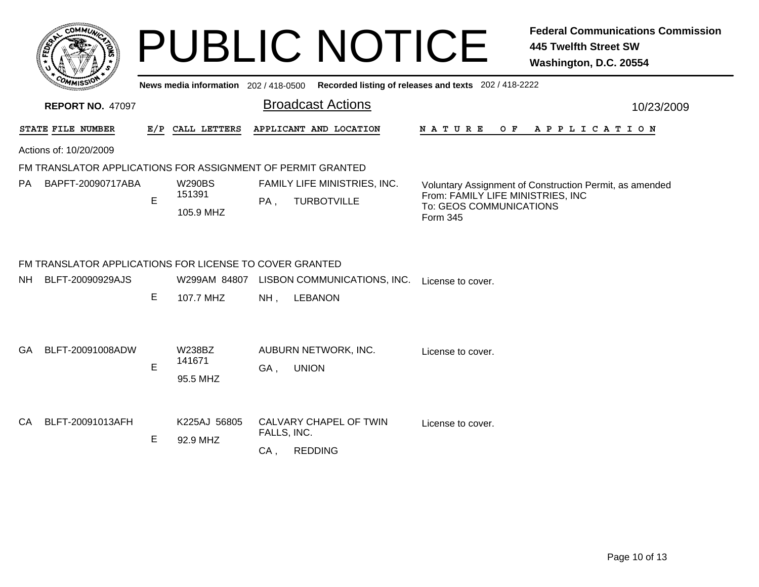|                  | c <sub>0</sub><br><b>MMUNA</b><br>e |  |
|------------------|-------------------------------------|--|
| <b>FEDET</b>     |                                     |  |
|                  |                                     |  |
| CO <sub>MI</sub> | MISS'<br>---                        |  |

## **PUBLIC NOTICE** *Federal Communications Commission*

|           |                                                         |   |                                       |                                                             | Washington, D.C. 20554                                                                                                              |
|-----------|---------------------------------------------------------|---|---------------------------------------|-------------------------------------------------------------|-------------------------------------------------------------------------------------------------------------------------------------|
|           |                                                         |   | News media information 202 / 418-0500 |                                                             | Recorded listing of releases and texts 202 / 418-2222                                                                               |
|           | <b>REPORT NO. 47097</b>                                 |   |                                       | <b>Broadcast Actions</b>                                    | 10/23/2009                                                                                                                          |
|           | STATE FILE NUMBER                                       |   | E/P CALL LETTERS                      | APPLICANT AND LOCATION                                      | A P P L I C A T I O N<br>N A T U R E<br>O F                                                                                         |
|           | Actions of: 10/20/2009                                  |   |                                       |                                                             |                                                                                                                                     |
|           |                                                         |   |                                       | FM TRANSLATOR APPLICATIONS FOR ASSIGNMENT OF PERMIT GRANTED |                                                                                                                                     |
| PA.       | BAPFT-20090717ABA                                       | E | <b>W290BS</b><br>151391<br>105.9 MHZ  | FAMILY LIFE MINISTRIES, INC.<br>PA,<br><b>TURBOTVILLE</b>   | Voluntary Assignment of Construction Permit, as amended<br>From: FAMILY LIFE MINISTRIES, INC<br>To: GEOS COMMUNICATIONS<br>Form 345 |
|           | FM TRANSLATOR APPLICATIONS FOR LICENSE TO COVER GRANTED |   |                                       |                                                             |                                                                                                                                     |
| <b>NH</b> | BLFT-20090929AJS                                        |   | W299AM 84807                          | LISBON COMMUNICATIONS, INC.                                 | License to cover.                                                                                                                   |
|           |                                                         | E | 107.7 MHZ                             | <b>LEBANON</b><br>NH,                                       |                                                                                                                                     |
| GA.       | BLFT-20091008ADW                                        |   | <b>W238BZ</b><br>141671               | AUBURN NETWORK, INC.                                        | License to cover.                                                                                                                   |
|           |                                                         | E | 95.5 MHZ                              | <b>UNION</b><br>GA,                                         |                                                                                                                                     |
| CA        | BLFT-20091013AFH                                        |   | K225AJ 56805                          | CALVARY CHAPEL OF TWIN<br>FALLS, INC.                       | License to cover.                                                                                                                   |
|           |                                                         | E | 92.9 MHZ                              | CA,<br><b>REDDING</b>                                       |                                                                                                                                     |
|           |                                                         |   |                                       |                                                             |                                                                                                                                     |
|           |                                                         |   |                                       |                                                             |                                                                                                                                     |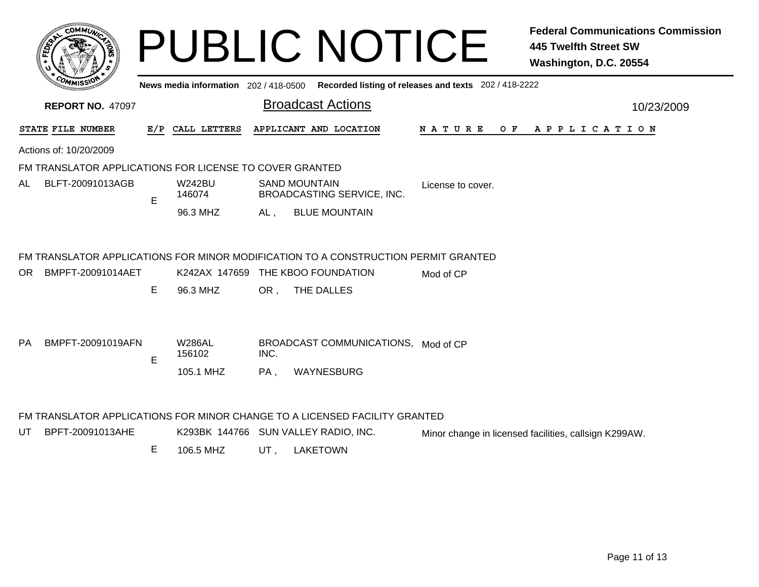|           |                                                         |   |                                       |      | <b>PUBLIC NOTICE</b>                                                               |                                                       | <b>Federal Communications Commission</b><br><b>445 Twelfth Street SW</b><br>Washington, D.C. 20554 |  |
|-----------|---------------------------------------------------------|---|---------------------------------------|------|------------------------------------------------------------------------------------|-------------------------------------------------------|----------------------------------------------------------------------------------------------------|--|
|           | <b>REPORT NO. 47097</b>                                 |   | News media information 202 / 418-0500 |      | <b>Broadcast Actions</b>                                                           | Recorded listing of releases and texts 202 / 418-2222 | 10/23/2009                                                                                         |  |
|           | STATE FILE NUMBER                                       |   | E/P CALL LETTERS                      |      | APPLICANT AND LOCATION                                                             | N A T U R E                                           | OF APPLICATION                                                                                     |  |
|           | Actions of: 10/20/2009                                  |   |                                       |      |                                                                                    |                                                       |                                                                                                    |  |
|           | FM TRANSLATOR APPLICATIONS FOR LICENSE TO COVER GRANTED |   |                                       |      |                                                                                    |                                                       |                                                                                                    |  |
| AL        | BLFT-20091013AGB                                        | E | W242BU<br>146074                      |      | <b>SAND MOUNTAIN</b><br>BROADCASTING SERVICE, INC.                                 | License to cover.                                     |                                                                                                    |  |
|           |                                                         |   | 96.3 MHZ                              | AL,  | <b>BLUE MOUNTAIN</b>                                                               |                                                       |                                                                                                    |  |
|           |                                                         |   |                                       |      | FM TRANSLATOR APPLICATIONS FOR MINOR MODIFICATION TO A CONSTRUCTION PERMIT GRANTED |                                                       |                                                                                                    |  |
| OR.       | BMPFT-20091014AET                                       |   |                                       |      | K242AX 147659 THE KBOO FOUNDATION                                                  | Mod of CP                                             |                                                                                                    |  |
|           |                                                         | E | 96.3 MHZ                              | OR . | THE DALLES                                                                         |                                                       |                                                                                                    |  |
| <b>PA</b> | BMPFT-20091019AFN                                       | E | <b>W286AL</b><br>156102               | INC. | BROADCAST COMMUNICATIONS, Mod of CP                                                |                                                       |                                                                                                    |  |
|           |                                                         |   | 105.1 MHZ                             | PA,  | WAYNESBURG                                                                         |                                                       |                                                                                                    |  |
|           |                                                         |   |                                       |      | FM TRANSLATOR APPLICATIONS FOR MINOR CHANGE TO A LICENSED FACILITY GRANTED         |                                                       |                                                                                                    |  |
| UT        | BPFT-20091013AHE                                        |   |                                       |      | K293BK 144766 SUN VALLEY RADIO, INC.                                               |                                                       | Minor change in licensed facilities, callsign K299AW.                                              |  |

E 106.5 MHZUT , LAKETOWN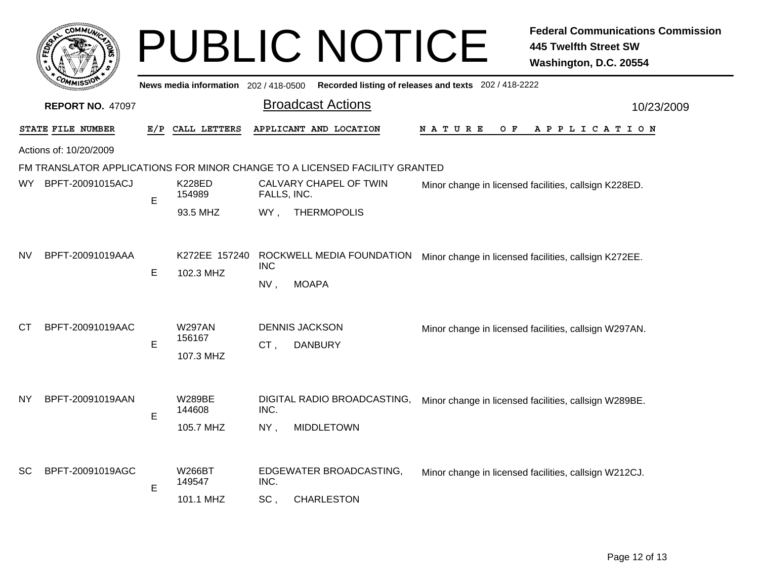|           |                         |             |                                       |                   | <b>PUBLIC NOTICE</b>                                                       |                                                       | <b>Federal Communications Commission</b><br><b>445 Twelfth Street SW</b><br>Washington, D.C. 20554 |  |
|-----------|-------------------------|-------------|---------------------------------------|-------------------|----------------------------------------------------------------------------|-------------------------------------------------------|----------------------------------------------------------------------------------------------------|--|
|           |                         |             | News media information 202 / 418-0500 |                   |                                                                            | Recorded listing of releases and texts 202 / 418-2222 |                                                                                                    |  |
|           | <b>REPORT NO. 47097</b> |             |                                       |                   | <b>Broadcast Actions</b>                                                   |                                                       | 10/23/2009                                                                                         |  |
|           | STATE FILE NUMBER       | E/P         | CALL LETTERS                          |                   | APPLICANT AND LOCATION                                                     | N A T U R E<br>O F                                    | A P P L I C A T I O N                                                                              |  |
|           | Actions of: 10/20/2009  |             |                                       |                   |                                                                            |                                                       |                                                                                                    |  |
|           |                         |             |                                       |                   | FM TRANSLATOR APPLICATIONS FOR MINOR CHANGE TO A LICENSED FACILITY GRANTED |                                                       |                                                                                                    |  |
| WY l      | BPFT-20091015ACJ        | Е           | <b>K228ED</b><br>154989               | FALLS, INC.       | CALVARY CHAPEL OF TWIN                                                     | Minor change in licensed facilities, callsign K228ED. |                                                                                                    |  |
|           |                         |             | 93.5 MHZ                              |                   | WY, THERMOPOLIS                                                            |                                                       |                                                                                                    |  |
| NV        | BPFT-20091019AAA        | Е           | K272EE 157240<br>102.3 MHZ            | <b>INC</b><br>NV, | ROCKWELL MEDIA FOUNDATION<br><b>MOAPA</b>                                  |                                                       | Minor change in licensed facilities, callsign K272EE.                                              |  |
| СT        | BPFT-20091019AAC        |             | <b>W297AN</b>                         |                   | <b>DENNIS JACKSON</b>                                                      |                                                       | Minor change in licensed facilities, callsign W297AN.                                              |  |
|           |                         | E           | 156167<br>107.3 MHZ                   | CT,               | <b>DANBURY</b>                                                             |                                                       |                                                                                                    |  |
| <b>NY</b> | BPFT-20091019AAN        | $\mathsf E$ | <b>W289BE</b><br>144608<br>105.7 MHZ  | INC.<br>NY,       | DIGITAL RADIO BROADCASTING,<br><b>MIDDLETOWN</b>                           |                                                       | Minor change in licensed facilities, callsign W289BE.                                              |  |
| SC        | BPFT-20091019AGC        | E           | W266BT<br>149547                      | INC.              | EDGEWATER BROADCASTING,                                                    |                                                       | Minor change in licensed facilities, callsign W212CJ.                                              |  |
|           |                         |             | 101.1 MHZ                             | SC,               | <b>CHARLESTON</b>                                                          |                                                       |                                                                                                    |  |